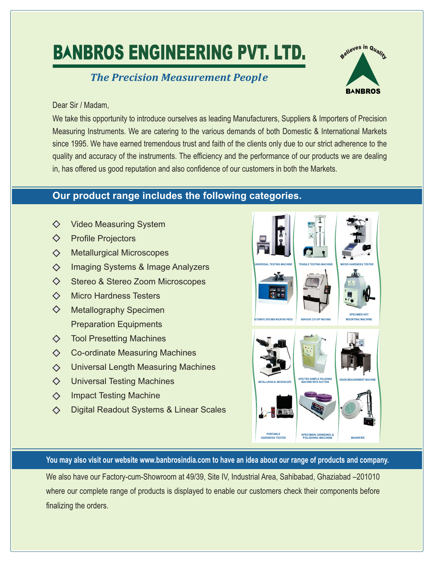# **BANBROS ENGINEERING PVT. LTD.**

## *The Precision Measurement People*



### Dear Sir / Madam,

We take this opportunity to introduce ourselves as leading Manufacturers, Suppliers & Importers of Precision Measuring Instruments. We are catering to the various demands of both Domestic & International Markets since 1995. We have earned tremendous trust and faith of the clients only due to our strict adherence to the quality and accuracy of the instruments. The efficiency and the performance of our products we are dealing in, has offered us good reputation and also confidence of our customers in both the Markets.

## **Our product range includes the following categories.**

- ◇ Video Measuring System
- $\Diamond$ Profile Projectors
- $\Diamond$ Metallurgical Microscopes
- $\Diamond$ Imaging Systems & Image Analyzers
- $\Diamond$ Stereo & Stereo Zoom Microscopes
- Micro Hardness Testers  $\Diamond$
- $\Diamond$ Metallography Specimen Preparation Equipments
- $\Diamond$ Tool Presetting Machines
- $\Diamond$ Co-ordinate Measuring Machines
- Universal Length Measuring Machines  $\Diamond$
- $\Diamond$ Universal Testing Machines
- $\Diamond$ Impact Testing Machine
- $\Diamond$ Digital Readout Systems & Linear Scales



You may also visit our website www.banbrosindia.com to have an idea about our range of products and company.

We also have our Factory-cum-Showroom at 49/39, Site IV, Industrial Area, Sahibabad, Ghaziabad –201010 where our complete range of products is displayed to enable our customers check their components before finalizing the orders.